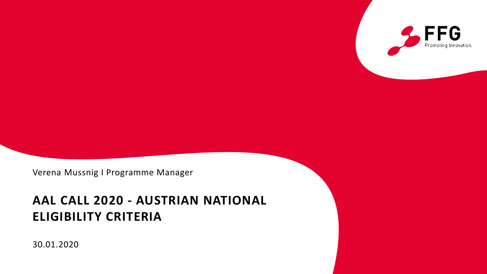

Verena Mussnig I Programme Manager

# **AAL CALL 2020 - AUSTRIAN NATIONAL ELIGIBILITY CRITERIA**

30.01.2020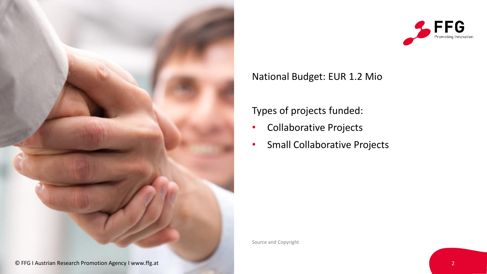



#### National Budget: EUR 1.2 Mio

#### Types of projects funded:

- Collaborative Projects
- Small Collaborative Projects

Source and Copyright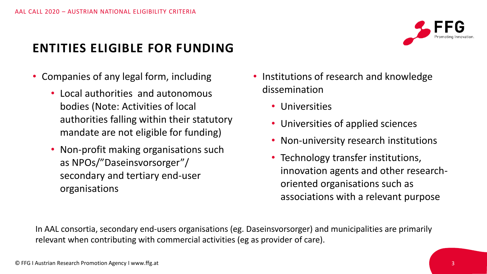## **ENTITIES ELIGIBLE FOR FUNDING**

- Companies of any legal form, including
	- Local authorities and autonomous bodies (Note: Activities of local authorities falling within their statutory mandate are not eligible for funding)
	- Non-profit making organisations such as NPOs/"Daseinsvorsorger"/ secondary and tertiary end-user organisations
- Institutions of research and knowledge dissemination
	- Universities
	- Universities of applied sciences
	- Non-university research institutions
	- Technology transfer institutions, innovation agents and other researchoriented organisations such as associations with a relevant purpose

In AAL consortia, secondary end-users organisations (eg. Daseinsvorsorger) and municipalities are primarily relevant when contributing with commercial activities (eg as provider of care).

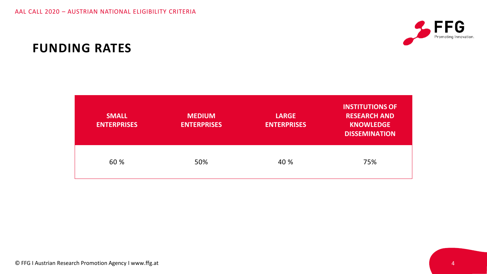

### **FUNDING RATES**

| <b>SMALL</b><br><b>ENTERPRISES</b> | <b>MEDIUM</b><br><b>ENTERPRISES</b> | <b>LARGE</b><br><b>ENTERPRISES</b> | <b>INSTITUTIONS OF</b><br><b>RESEARCH AND</b><br><b>KNOWLEDGE</b><br><b>DISSEMINATION</b> |
|------------------------------------|-------------------------------------|------------------------------------|-------------------------------------------------------------------------------------------|
| 60 %                               | 50%                                 | 40 %                               | 75%                                                                                       |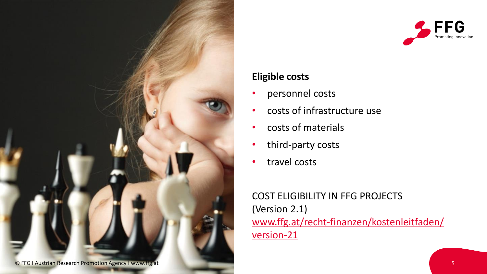



#### **Eligible costs**

- personnel costs
- costs of infrastructure use
- costs of materials
- third-party costs
- travel costs

COST ELIGIBILITY IN FFG PROJECTS (Version 2.1) [www.ffg.at/recht-finanzen/kostenleitfaden/](http://www.ffg.at/recht-finanzen/kostenleitfaden/version-21)  version-21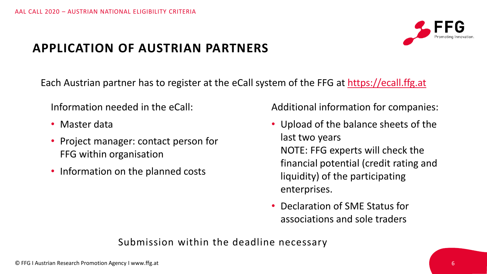

## **APPLICATION OF AUSTRIAN PARTNERS**

Each Austrian partner has to register at the eCall system of the FFG at [https://ecall.ffg.at](https://ecall.ffg.at/)

Information needed in the eCall:

- Master data
- Project manager: contact person for FFG within organisation
- Information on the planned costs

Additional information for companies:

- Upload of the balance sheets of the last two years NOTE: FFG experts will check the financial potential (credit rating and liquidity) of the participating enterprises.
- Declaration of SME Status for associations and sole traders

#### Submission within the deadline necessary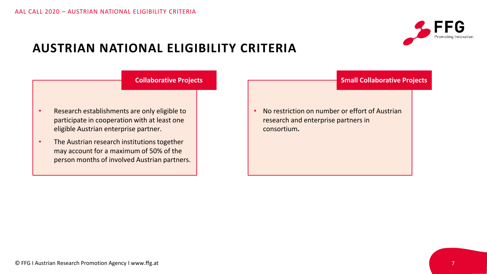

#### **AUSTRIAN NATIONAL ELIGIBILITY CRITERIA**

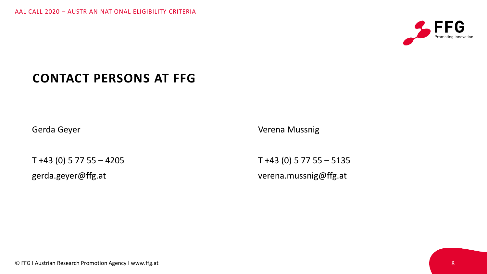

## **CONTACT PERSONS AT FFG**

Gerda Geyer

T +43 (0) 5 77 55 – 4205

gerda.geyer@ffg.at

Verena Mussnig

T +43 (0) 5 77 55 – 5135 verena.mussnig@ffg.at